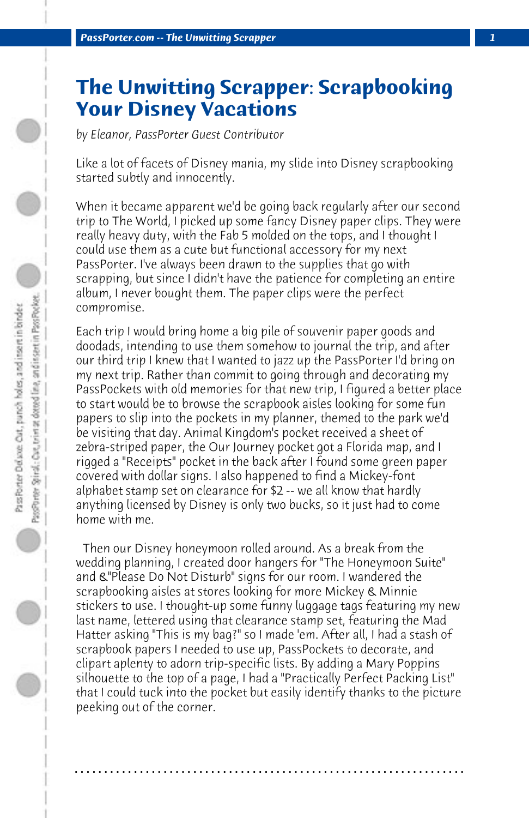## **The Unwitting Scrapper: Scrapbooking Your Disney Vacations**

*by Eleanor, PassPorter Guest Contributor*

Like a lot of facets of Disney mania, my slide into Disney scrapbooking started subtly and innocently.

When it became apparent we'd be going back regularly after our second trip to The World, I picked up some fancy Disney paper clips. They were really heavy duty, with the Fab 5 molded on the tops, and I thought I could use them as a cute but functional accessory for my next PassPorter. I've always been drawn to the supplies that go with scrapping, but since I didn't have the patience for completing an entire album, I never bought them. The paper clips were the perfect compromise.

Each trip I would bring home a big pile of souvenir paper goods and doodads, intending to use them somehow to journal the trip, and after our third trip I knew that I wanted to jazz up the PassPorter I'd bring on my next trip. Rather than commit to going through and decorating my PassPockets with old memories for that new trip, I figured a better place to start would be to browse the scrapbook aisles looking for some fun papers to slip into the pockets in my planner, themed to the park we'd be visiting that day. Animal Kingdom's pocket received a sheet of zebra-striped paper, the Our Journey pocket got a Florida map, and I rigged a "Receipts" pocket in the back after I found some green paper covered with dollar signs. I also happened to find a Mickey-font alphabet stamp set on clearance for \$2 -- we all know that hardly anything licensed by Disney is only two bucks, so it just had to come home with me.

 Then our Disney honeymoon rolled around. As a break from the wedding planning, I created door hangers for "The Honeymoon Suite" and &"Please Do Not Disturb" signs for our room. I wandered the scrapbooking aisles at stores looking for more Mickey & Minnie stickers to use. I thought-up some funny luggage tags featuring my new last name, lettered using that clearance stamp set, featuring the Mad Hatter asking "This is my bag?" so I made 'em. After all, I had a stash of scrapbook papers I needed to use up, PassPockets to decorate, and clipart aplenty to adorn trip-specific lists. By adding a Mary Poppins silhouette to the top of a page, I had a "Practically Perfect Packing List" that I could tuck into the pocket but easily identify thanks to the picture peeking out of the corner.

**. . . . . . . . . . . . . . . . . . . . . . . . . . . . . . . . . . . . . . . . . . . . . . . . . . . . . . . . . . . . . . . . . .**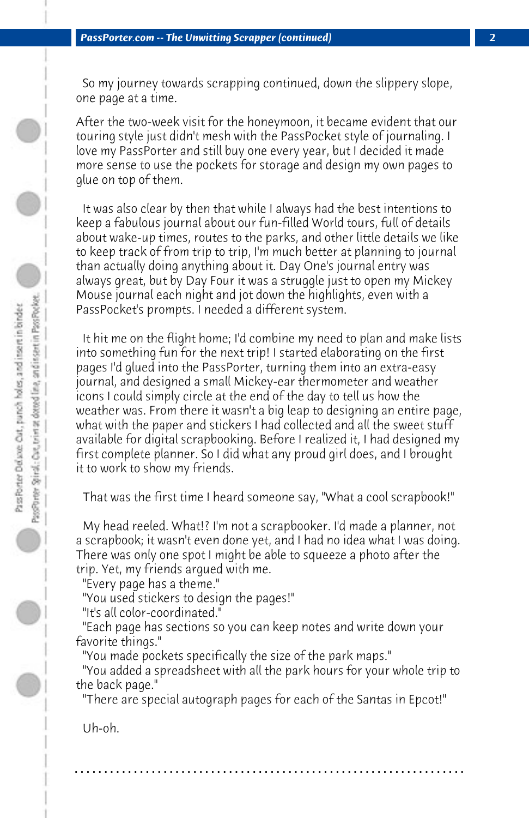So my journey towards scrapping continued, down the slippery slope, one page at a time.

After the two-week visit for the honeymoon, it became evident that our touring style just didn't mesh with the PassPocket style of journaling. I love my PassPorter and still buy one every year, but I decided it made more sense to use the pockets for storage and design my own pages to glue on top of them.

 It was also clear by then that while I always had the best intentions to keep a fabulous journal about our fun-filled World tours, full of details about wake-up times, routes to the parks, and other little details we like to keep track of from trip to trip, I'm much better at planning to journal than actually doing anything about it. Day One's journal entry was always great, but by Day Four it was a struggle just to open my Mickey Mouse journal each night and jot down the highlights, even with a PassPocket's prompts. I needed a different system.

 It hit me on the flight home; I'd combine my need to plan and make lists into something fun for the next trip! I started elaborating on the first pages I'd glued into the PassPorter, turning them into an extra-easy journal, and designed a small Mickey-ear thermometer and weather icons I could simply circle at the end of the day to tell us how the weather was. From there it wasn't a big leap to designing an entire page, what with the paper and stickers I had collected and all the sweet stuff available for digital scrapbooking. Before I realized it, I had designed my first complete planner. So I did what any proud girl does, and I brought it to work to show my friends.

 That was the first time I heard someone say, "What a cool scrapbook!"

 My head reeled. What!? I'm not a scrapbooker. I'd made a planner, not a scrapbook; it wasn't even done yet, and I had no idea what I was doing. There was only one spot I might be able to squeeze a photo after the trip. Yet, my friends argued with me.

 "Every page has a theme."

 "You used stickers to design the pages!"

 "It's all color-coordinated."

 "Each page has sections so you can keep notes and write down your favorite things."

 "You made pockets specifically the size of the park maps."

 "You added a spreadsheet with all the park hours for your whole trip to the back page."

 "There are special autograph pages for each of the Santas in Epcot!"

 Uh-oh.

**. . . . . . . . . . . . . . . . . . . . . . . . . . . . . . . . . . . . . . . . . . . . . . . . . . . . . . . . . . . . . . . . . .**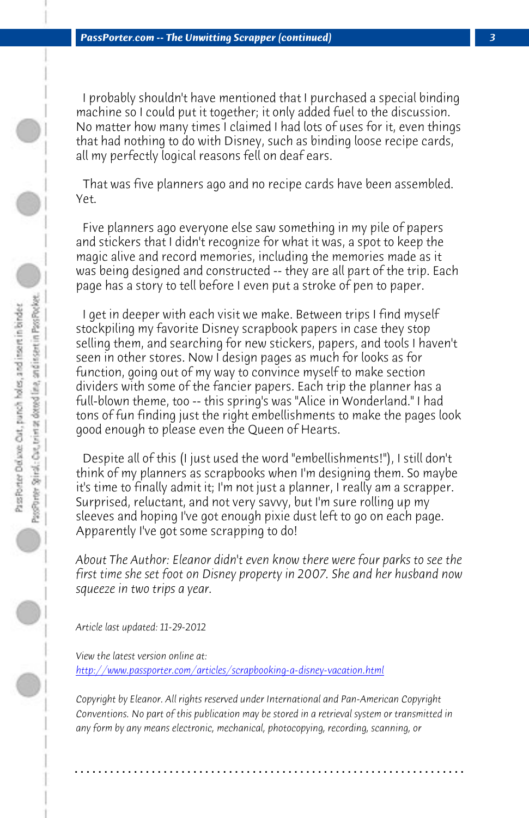I probably shouldn't have mentioned that I purchased a special binding machine so I could put it together; it only added fuel to the discussion. No matter how many times I claimed I had lots of uses for it, even things that had nothing to do with Disney, such as binding loose recipe cards, all my perfectly logical reasons fell on deaf ears.

 That was five planners ago and no recipe cards have been assembled. Yet.

 Five planners ago everyone else saw something in my pile of papers and stickers that I didn't recognize for what it was, a spot to keep the magic alive and record memories, including the memories made as it was being designed and constructed -- they are all part of the trip. Each page has a story to tell before I even put a stroke of pen to paper.

 I get in deeper with each visit we make. Between trips I find myself stockpiling my favorite Disney scrapbook papers in case they stop selling them, and searching for new stickers, papers, and tools I haven't seen in other stores. Now I design pages as much for looks as for function, going out of my way to convince myself to make section dividers with some of the fancier papers. Each trip the planner has a full-blown theme, too -- this spring's was "Alice in Wonderland." I had tons of fun finding just the right embellishments to make the pages look [good enough to please even the Queen of Hearts.](http://www.passporter.com/articles/scrapbooking-a-disney-vacation.php)

 Despite all of this (I just used the word "embellishments!"), I still don't think of my planners as scrapbooks when I'm designing them. So maybe it's time to finally admit it; I'm not just a planner, I really am a scrapper. Surprised, reluctant, and not very savvy, but I'm sure rolling up my sleeves and hoping I've got enough pixie dust left to go on each page. Apparently I've got some scrapping to do!

*About The Author: Eleanor didn't even know there were four parks to see the first time she set foot on Disney property in 2007. She and her husband now squeeze in two trips a year.*

*Article last updated: 11-29-2012*

*View the latest version online at: http://www.passporter.com/articles/scrapbooking-a-disney-vacation.html*

*Copyright by Eleanor. All rights reserved under International and Pan-American Copyright Conventions. No part of this publication may be stored in a retrieval system or transmitted in any form by any means electronic, mechanical, photocopying, recording, scanning, or*

**. . . . . . . . . . . . . . . . . . . . . . . . . . . . . . . . . . . . . . . . . . . . . . . . . . . . . . . . . . . . . . . . . .**